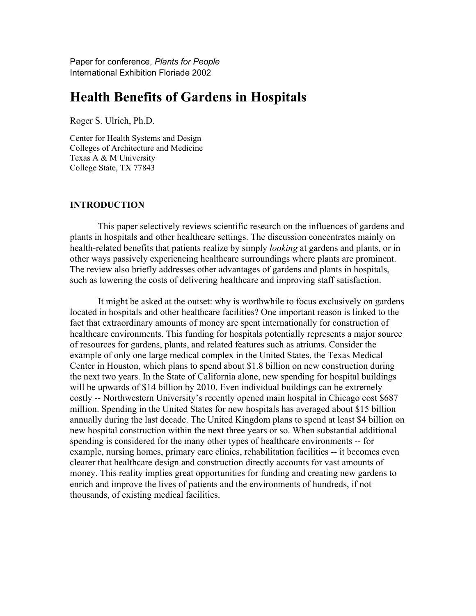Paper for conference, *Plants for People* International Exhibition Floriade 2002

# **Health Benefits of Gardens in Hospitals**

Roger S. Ulrich, Ph.D.

Center for Health Systems and Design Colleges of Architecture and Medicine Texas A & M University College State, TX 77843

# **INTRODUCTION**

This paper selectively reviews scientific research on the influences of gardens and plants in hospitals and other healthcare settings. The discussion concentrates mainly on health-related benefits that patients realize by simply *looking* at gardens and plants, or in other ways passively experiencing healthcare surroundings where plants are prominent. The review also briefly addresses other advantages of gardens and plants in hospitals, such as lowering the costs of delivering healthcare and improving staff satisfaction.

It might be asked at the outset: why is worthwhile to focus exclusively on gardens located in hospitals and other healthcare facilities? One important reason is linked to the fact that extraordinary amounts of money are spent internationally for construction of healthcare environments. This funding for hospitals potentially represents a major source of resources for gardens, plants, and related features such as atriums. Consider the example of only one large medical complex in the United States, the Texas Medical Center in Houston, which plans to spend about \$1.8 billion on new construction during the next two years. In the State of California alone, new spending for hospital buildings will be upwards of \$14 billion by 2010. Even individual buildings can be extremely costly -- Northwestern University's recently opened main hospital in Chicago cost \$687 million. Spending in the United States for new hospitals has averaged about \$15 billion annually during the last decade. The United Kingdom plans to spend at least \$4 billion on new hospital construction within the next three years or so. When substantial additional spending is considered for the many other types of healthcare environments -- for example, nursing homes, primary care clinics, rehabilitation facilities -- it becomes even clearer that healthcare design and construction directly accounts for vast amounts of money. This reality implies great opportunities for funding and creating new gardens to enrich and improve the lives of patients and the environments of hundreds, if not thousands, of existing medical facilities.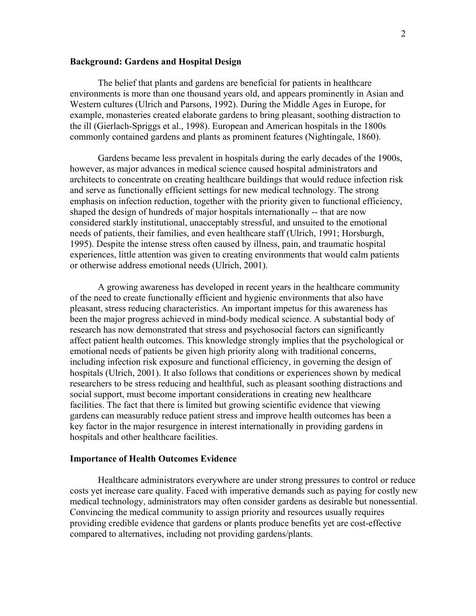# **Background: Gardens and Hospital Design**

The belief that plants and gardens are beneficial for patients in healthcare environments is more than one thousand years old, and appears prominently in Asian and Western cultures (Ulrich and Parsons, 1992). During the Middle Ages in Europe, for example, monasteries created elaborate gardens to bring pleasant, soothing distraction to the ill (Gierlach-Spriggs et al., 1998). European and American hospitals in the 1800s commonly contained gardens and plants as prominent features (Nightingale, 1860).

Gardens became less prevalent in hospitals during the early decades of the 1900s, however, as major advances in medical science caused hospital administrators and architects to concentrate on creating healthcare buildings that would reduce infection risk and serve as functionally efficient settings for new medical technology. The strong emphasis on infection reduction, together with the priority given to functional efficiency, shaped the design of hundreds of major hospitals internationally -- that are now considered starkly institutional, unacceptably stressful, and unsuited to the emotional needs of patients, their families, and even healthcare staff (Ulrich, 1991; Horsburgh, 1995). Despite the intense stress often caused by illness, pain, and traumatic hospital experiences, little attention was given to creating environments that would calm patients or otherwise address emotional needs (Ulrich, 2001).

A growing awareness has developed in recent years in the healthcare community of the need to create functionally efficient and hygienic environments that also have pleasant, stress reducing characteristics. An important impetus for this awareness has been the major progress achieved in mind-body medical science. A substantial body of research has now demonstrated that stress and psychosocial factors can significantly affect patient health outcomes. This knowledge strongly implies that the psychological or emotional needs of patients be given high priority along with traditional concerns, including infection risk exposure and functional efficiency, in governing the design of hospitals (Ulrich, 2001). It also follows that conditions or experiences shown by medical researchers to be stress reducing and healthful, such as pleasant soothing distractions and social support, must become important considerations in creating new healthcare facilities. The fact that there is limited but growing scientific evidence that viewing gardens can measurably reduce patient stress and improve health outcomes has been a key factor in the major resurgence in interest internationally in providing gardens in hospitals and other healthcare facilities.

### **Importance of Health Outcomes Evidence**

Healthcare administrators everywhere are under strong pressures to control or reduce costs yet increase care quality. Faced with imperative demands such as paying for costly new medical technology, administrators may often consider gardens as desirable but nonessential. Convincing the medical community to assign priority and resources usually requires providing credible evidence that gardens or plants produce benefits yet are cost-effective compared to alternatives, including not providing gardens/plants.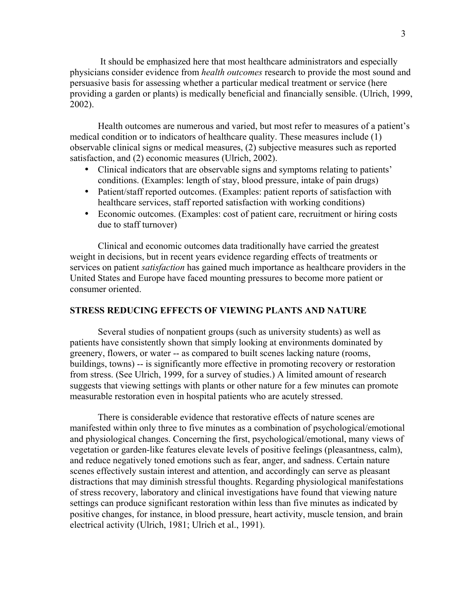It should be emphasized here that most healthcare administrators and especially physicians consider evidence from *health outcomes* research to provide the most sound and persuasive basis for assessing whether a particular medical treatment or service (here providing a garden or plants) is medically beneficial and financially sensible. (Ulrich, 1999, 2002).

Health outcomes are numerous and varied, but most refer to measures of a patient's medical condition or to indicators of healthcare quality. These measures include (1) observable clinical signs or medical measures, (2) subjective measures such as reported satisfaction, and (2) economic measures (Ulrich, 2002).

- Clinical indicators that are observable signs and symptoms relating to patients' conditions. (Examples: length of stay, blood pressure, intake of pain drugs)
- Patient/staff reported outcomes. (Examples: patient reports of satisfaction with healthcare services, staff reported satisfaction with working conditions)
- Economic outcomes. (Examples: cost of patient care, recruitment or hiring costs due to staff turnover)

Clinical and economic outcomes data traditionally have carried the greatest weight in decisions, but in recent years evidence regarding effects of treatments or services on patient *satisfaction* has gained much importance as healthcare providers in the United States and Europe have faced mounting pressures to become more patient or consumer oriented.

# **STRESS REDUCING EFFECTS OF VIEWING PLANTS AND NATURE**

Several studies of nonpatient groups (such as university students) as well as patients have consistently shown that simply looking at environments dominated by greenery, flowers, or water -- as compared to built scenes lacking nature (rooms, buildings, towns) -- is significantly more effective in promoting recovery or restoration from stress. (See Ulrich, 1999, for a survey of studies.) A limited amount of research suggests that viewing settings with plants or other nature for a few minutes can promote measurable restoration even in hospital patients who are acutely stressed.

There is considerable evidence that restorative effects of nature scenes are manifested within only three to five minutes as a combination of psychological/emotional and physiological changes. Concerning the first, psychological/emotional, many views of vegetation or garden-like features elevate levels of positive feelings (pleasantness, calm), and reduce negatively toned emotions such as fear, anger, and sadness. Certain nature scenes effectively sustain interest and attention, and accordingly can serve as pleasant distractions that may diminish stressful thoughts. Regarding physiological manifestations of stress recovery, laboratory and clinical investigations have found that viewing nature settings can produce significant restoration within less than five minutes as indicated by positive changes, for instance, in blood pressure, heart activity, muscle tension, and brain electrical activity (Ulrich, 1981; Ulrich et al., 1991).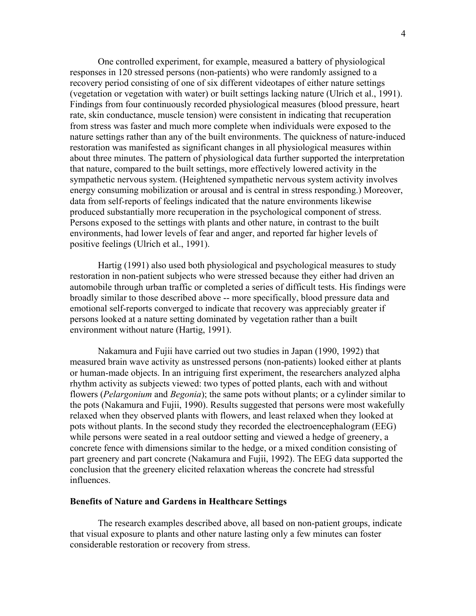One controlled experiment, for example, measured a battery of physiological responses in 120 stressed persons (non-patients) who were randomly assigned to a recovery period consisting of one of six different videotapes of either nature settings (vegetation or vegetation with water) or built settings lacking nature (Ulrich et al., 1991). Findings from four continuously recorded physiological measures (blood pressure, heart rate, skin conductance, muscle tension) were consistent in indicating that recuperation from stress was faster and much more complete when individuals were exposed to the nature settings rather than any of the built environments. The quickness of nature-induced restoration was manifested as significant changes in all physiological measures within about three minutes. The pattern of physiological data further supported the interpretation that nature, compared to the built settings, more effectively lowered activity in the sympathetic nervous system. (Heightened sympathetic nervous system activity involves energy consuming mobilization or arousal and is central in stress responding.) Moreover, data from self-reports of feelings indicated that the nature environments likewise produced substantially more recuperation in the psychological component of stress. Persons exposed to the settings with plants and other nature, in contrast to the built environments, had lower levels of fear and anger, and reported far higher levels of positive feelings (Ulrich et al., 1991).

Hartig (1991) also used both physiological and psychological measures to study restoration in non-patient subjects who were stressed because they either had driven an automobile through urban traffic or completed a series of difficult tests. His findings were broadly similar to those described above -- more specifically, blood pressure data and emotional self-reports converged to indicate that recovery was appreciably greater if persons looked at a nature setting dominated by vegetation rather than a built environment without nature (Hartig, 1991).

Nakamura and Fujii have carried out two studies in Japan (1990, 1992) that measured brain wave activity as unstressed persons (non-patients) looked either at plants or human-made objects. In an intriguing first experiment, the researchers analyzed alpha rhythm activity as subjects viewed: two types of potted plants, each with and without flowers (*Pelargonium* and *Begonia*); the same pots without plants; or a cylinder similar to the pots (Nakamura and Fujii, 1990). Results suggested that persons were most wakefully relaxed when they observed plants with flowers, and least relaxed when they looked at pots without plants. In the second study they recorded the electroencephalogram (EEG) while persons were seated in a real outdoor setting and viewed a hedge of greenery, a concrete fence with dimensions similar to the hedge, or a mixed condition consisting of part greenery and part concrete (Nakamura and Fujii, 1992). The EEG data supported the conclusion that the greenery elicited relaxation whereas the concrete had stressful influences.

## **Benefits of Nature and Gardens in Healthcare Settings**

The research examples described above, all based on non-patient groups, indicate that visual exposure to plants and other nature lasting only a few minutes can foster considerable restoration or recovery from stress.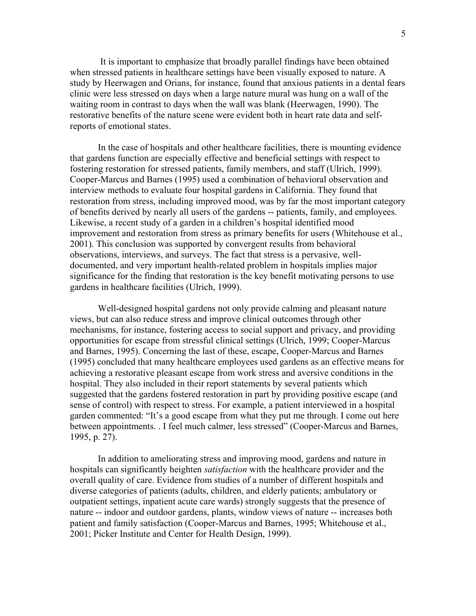It is important to emphasize that broadly parallel findings have been obtained when stressed patients in healthcare settings have been visually exposed to nature. A study by Heerwagen and Orians, for instance, found that anxious patients in a dental fears clinic were less stressed on days when a large nature mural was hung on a wall of the waiting room in contrast to days when the wall was blank (Heerwagen, 1990). The restorative benefits of the nature scene were evident both in heart rate data and selfreports of emotional states.

In the case of hospitals and other healthcare facilities, there is mounting evidence that gardens function are especially effective and beneficial settings with respect to fostering restoration for stressed patients, family members, and staff (Ulrich, 1999). Cooper-Marcus and Barnes (1995) used a combination of behavioral observation and interview methods to evaluate four hospital gardens in California. They found that restoration from stress, including improved mood, was by far the most important category of benefits derived by nearly all users of the gardens -- patients, family, and employees. Likewise, a recent study of a garden in a children's hospital identified mood improvement and restoration from stress as primary benefits for users (Whitehouse et al., 2001). This conclusion was supported by convergent results from behavioral observations, interviews, and surveys. The fact that stress is a pervasive, welldocumented, and very important health-related problem in hospitals implies major significance for the finding that restoration is the key benefit motivating persons to use gardens in healthcare facilities (Ulrich, 1999).

Well-designed hospital gardens not only provide calming and pleasant nature views, but can also reduce stress and improve clinical outcomes through other mechanisms, for instance, fostering access to social support and privacy, and providing opportunities for escape from stressful clinical settings (Ulrich, 1999; Cooper-Marcus and Barnes, 1995). Concerning the last of these, escape, Cooper-Marcus and Barnes (1995) concluded that many healthcare employees used gardens as an effective means for achieving a restorative pleasant escape from work stress and aversive conditions in the hospital. They also included in their report statements by several patients which suggested that the gardens fostered restoration in part by providing positive escape (and sense of control) with respect to stress. For example, a patient interviewed in a hospital garden commented: "It's a good escape from what they put me through. I come out here between appointments. . I feel much calmer, less stressed" (Cooper-Marcus and Barnes, 1995, p. 27).

In addition to ameliorating stress and improving mood, gardens and nature in hospitals can significantly heighten *satisfaction* with the healthcare provider and the overall quality of care. Evidence from studies of a number of different hospitals and diverse categories of patients (adults, children, and elderly patients; ambulatory or outpatient settings, inpatient acute care wards) strongly suggests that the presence of nature -- indoor and outdoor gardens, plants, window views of nature -- increases both patient and family satisfaction (Cooper-Marcus and Barnes, 1995; Whitehouse et al., 2001; Picker Institute and Center for Health Design, 1999).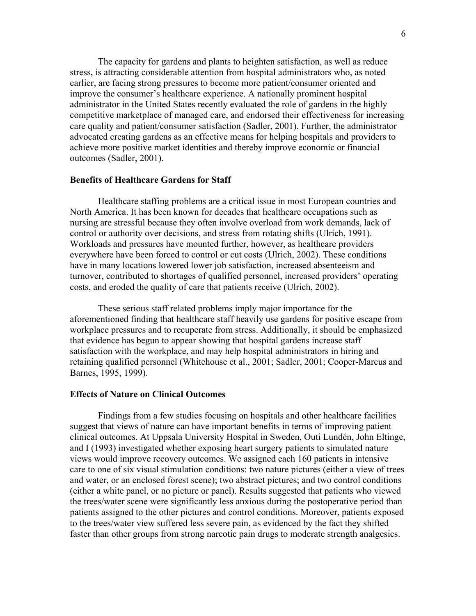The capacity for gardens and plants to heighten satisfaction, as well as reduce stress, is attracting considerable attention from hospital administrators who, as noted earlier, are facing strong pressures to become more patient/consumer oriented and improve the consumer's healthcare experience. A nationally prominent hospital administrator in the United States recently evaluated the role of gardens in the highly competitive marketplace of managed care, and endorsed their effectiveness for increasing care quality and patient/consumer satisfaction (Sadler, 2001). Further, the administrator advocated creating gardens as an effective means for helping hospitals and providers to achieve more positive market identities and thereby improve economic or financial outcomes (Sadler, 2001).

# **Benefits of Healthcare Gardens for Staff**

Healthcare staffing problems are a critical issue in most European countries and North America. It has been known for decades that healthcare occupations such as nursing are stressful because they often involve overload from work demands, lack of control or authority over decisions, and stress from rotating shifts (Ulrich, 1991). Workloads and pressures have mounted further, however, as healthcare providers everywhere have been forced to control or cut costs (Ulrich, 2002). These conditions have in many locations lowered lower job satisfaction, increased absenteeism and turnover, contributed to shortages of qualified personnel, increased providers' operating costs, and eroded the quality of care that patients receive (Ulrich, 2002).

These serious staff related problems imply major importance for the aforementioned finding that healthcare staff heavily use gardens for positive escape from workplace pressures and to recuperate from stress. Additionally, it should be emphasized that evidence has begun to appear showing that hospital gardens increase staff satisfaction with the workplace, and may help hospital administrators in hiring and retaining qualified personnel (Whitehouse et al., 2001; Sadler, 2001; Cooper-Marcus and Barnes, 1995, 1999).

#### **Effects of Nature on Clinical Outcomes**

Findings from a few studies focusing on hospitals and other healthcare facilities suggest that views of nature can have important benefits in terms of improving patient clinical outcomes. At Uppsala University Hospital in Sweden, Outi Lundén, John Eltinge, and I (1993) investigated whether exposing heart surgery patients to simulated nature views would improve recovery outcomes. We assigned each 160 patients in intensive care to one of six visual stimulation conditions: two nature pictures (either a view of trees and water, or an enclosed forest scene); two abstract pictures; and two control conditions (either a white panel, or no picture or panel). Results suggested that patients who viewed the trees/water scene were significantly less anxious during the postoperative period than patients assigned to the other pictures and control conditions. Moreover, patients exposed to the trees/water view suffered less severe pain, as evidenced by the fact they shifted faster than other groups from strong narcotic pain drugs to moderate strength analgesics.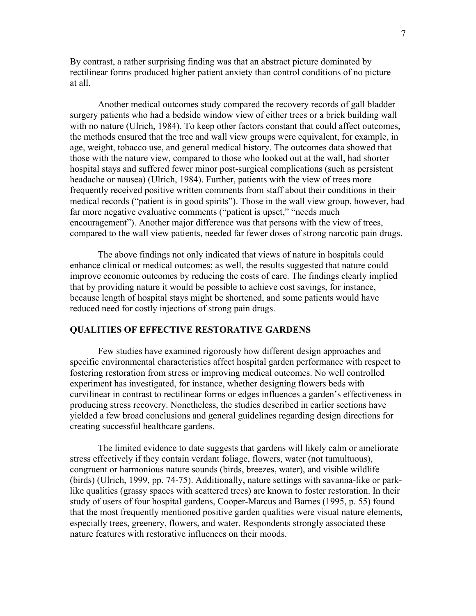By contrast, a rather surprising finding was that an abstract picture dominated by rectilinear forms produced higher patient anxiety than control conditions of no picture at all.

Another medical outcomes study compared the recovery records of gall bladder surgery patients who had a bedside window view of either trees or a brick building wall with no nature (Ulrich, 1984). To keep other factors constant that could affect outcomes, the methods ensured that the tree and wall view groups were equivalent, for example, in age, weight, tobacco use, and general medical history. The outcomes data showed that those with the nature view, compared to those who looked out at the wall, had shorter hospital stays and suffered fewer minor post-surgical complications (such as persistent headache or nausea) (Ulrich, 1984). Further, patients with the view of trees more frequently received positive written comments from staff about their conditions in their medical records ("patient is in good spirits"). Those in the wall view group, however, had far more negative evaluative comments ("patient is upset," "needs much encouragement"). Another major difference was that persons with the view of trees, compared to the wall view patients, needed far fewer doses of strong narcotic pain drugs.

The above findings not only indicated that views of nature in hospitals could enhance clinical or medical outcomes; as well, the results suggested that nature could improve economic outcomes by reducing the costs of care. The findings clearly implied that by providing nature it would be possible to achieve cost savings, for instance, because length of hospital stays might be shortened, and some patients would have reduced need for costly injections of strong pain drugs.

# **QUALITIES OF EFFECTIVE RESTORATIVE GARDENS**

Few studies have examined rigorously how different design approaches and specific environmental characteristics affect hospital garden performance with respect to fostering restoration from stress or improving medical outcomes. No well controlled experiment has investigated, for instance, whether designing flowers beds with curvilinear in contrast to rectilinear forms or edges influences a garden's effectiveness in producing stress recovery. Nonetheless, the studies described in earlier sections have yielded a few broad conclusions and general guidelines regarding design directions for creating successful healthcare gardens.

The limited evidence to date suggests that gardens will likely calm or ameliorate stress effectively if they contain verdant foliage, flowers, water (not tumultuous), congruent or harmonious nature sounds (birds, breezes, water), and visible wildlife (birds) (Ulrich, 1999, pp. 74-75). Additionally, nature settings with savanna-like or parklike qualities (grassy spaces with scattered trees) are known to foster restoration. In their study of users of four hospital gardens, Cooper-Marcus and Barnes (1995, p. 55) found that the most frequently mentioned positive garden qualities were visual nature elements, especially trees, greenery, flowers, and water. Respondents strongly associated these nature features with restorative influences on their moods.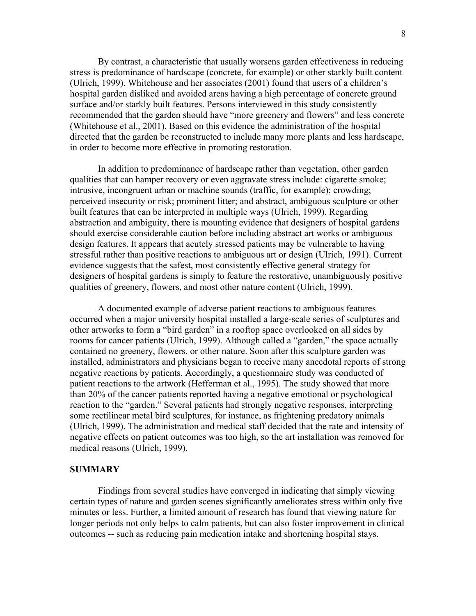By contrast, a characteristic that usually worsens garden effectiveness in reducing stress is predominance of hardscape (concrete, for example) or other starkly built content (Ulrich, 1999). Whitehouse and her associates (2001) found that users of a children's hospital garden disliked and avoided areas having a high percentage of concrete ground surface and/or starkly built features. Persons interviewed in this study consistently recommended that the garden should have "more greenery and flowers" and less concrete (Whitehouse et al., 2001). Based on this evidence the administration of the hospital directed that the garden be reconstructed to include many more plants and less hardscape, in order to become more effective in promoting restoration.

In addition to predominance of hardscape rather than vegetation, other garden qualities that can hamper recovery or even aggravate stress include: cigarette smoke; intrusive, incongruent urban or machine sounds (traffic, for example); crowding; perceived insecurity or risk; prominent litter; and abstract, ambiguous sculpture or other built features that can be interpreted in multiple ways (Ulrich, 1999). Regarding abstraction and ambiguity, there is mounting evidence that designers of hospital gardens should exercise considerable caution before including abstract art works or ambiguous design features. It appears that acutely stressed patients may be vulnerable to having stressful rather than positive reactions to ambiguous art or design (Ulrich, 1991). Current evidence suggests that the safest, most consistently effective general strategy for designers of hospital gardens is simply to feature the restorative, unambiguously positive qualities of greenery, flowers, and most other nature content (Ulrich, 1999).

A documented example of adverse patient reactions to ambiguous features occurred when a major university hospital installed a large-scale series of sculptures and other artworks to form a "bird garden" in a rooftop space overlooked on all sides by rooms for cancer patients (Ulrich, 1999). Although called a "garden," the space actually contained no greenery, flowers, or other nature. Soon after this sculpture garden was installed, administrators and physicians began to receive many anecdotal reports of strong negative reactions by patients. Accordingly, a questionnaire study was conducted of patient reactions to the artwork (Hefferman et al., 1995). The study showed that more than 20% of the cancer patients reported having a negative emotional or psychological reaction to the "garden." Several patients had strongly negative responses, interpreting some rectilinear metal bird sculptures, for instance, as frightening predatory animals (Ulrich, 1999). The administration and medical staff decided that the rate and intensity of negative effects on patient outcomes was too high, so the art installation was removed for medical reasons (Ulrich, 1999).

#### **SUMMARY**

Findings from several studies have converged in indicating that simply viewing certain types of nature and garden scenes significantly ameliorates stress within only five minutes or less. Further, a limited amount of research has found that viewing nature for longer periods not only helps to calm patients, but can also foster improvement in clinical outcomes -- such as reducing pain medication intake and shortening hospital stays.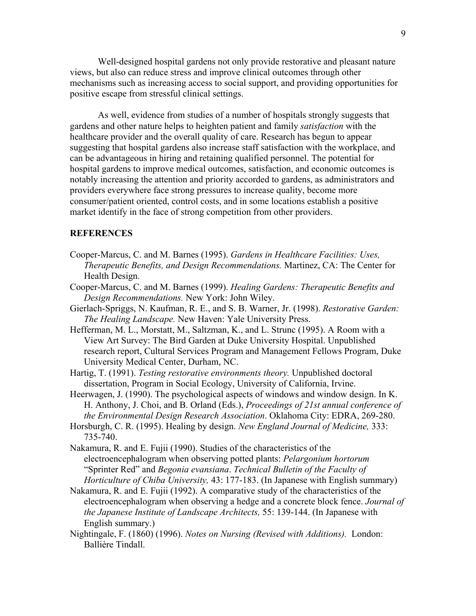Well-designed hospital gardens not only provide restorative and pleasant nature views, but also can reduce stress and improve clinical outcomes through other mechanisms such as increasing access to social support, and providing opportunities for positive escape from stressful clinical settings.

As well, evidence from studies of a number of hospitals strongly suggests that gardens and other nature helps to heighten patient and family *satisfaction* with the healthcare provider and the overall quality of care. Research has begun to appear suggesting that hospital gardens also increase staff satisfaction with the workplace, and can be advantageous in hiring and retaining qualified personnel. The potential for hospital gardens to improve medical outcomes, satisfaction, and economic outcomes is notably increasing the attention and priority accorded to gardens, as administrators and providers everywhere face strong pressures to increase quality, become more consumer/patient oriented, control costs, and in some locations establish a positive market identify in the face of strong competition from other providers.

# **REFERENCES**

- Cooper-Marcus, C. and M. Barnes (1995). *Gardens in Healthcare Facilities: Uses, Therapeutic Benefits, and Design Recommendations.* Martinez, CA: The Center for Health Design.
- Cooper-Marcus, C. and M. Barnes (1999). *Healing Gardens: Therapeutic Benefits and Design Recommendations.* New York: John Wiley.
- Gierlach-Spriggs, N. Kaufman, R. E., and S. B. Warner, Jr. (1998). *Restorative Garden: The Healing Landscape.* New Haven: Yale University Press.
- Hefferman, M. L., Morstatt, M., Saltzman, K., and L. Strunc (1995). A Room with a View Art Survey: The Bird Garden at Duke University Hospital. Unpublished research report, Cultural Services Program and Management Fellows Program, Duke University Medical Center, Durham, NC.
- Hartig, T. (1991). *Testing restorative environments theory.* Unpublished doctoral dissertation, Program in Social Ecology, University of California, Irvine.
- Heerwagen, J. (1990). The psychological aspects of windows and window design. In K. H. Anthony, J. Choi, and B. Orland (Eds.), *Proceedings of 21st annual conference of the Environmental Design Research Association*. Oklahoma City: EDRA, 269-280.
- Horsburgh, C. R. (1995). Healing by design. *New England Journal of Medicine,* 333: 735-740.
- Nakamura, R. and E. Fujii (1990). Studies of the characteristics of the electroencephalogram when observing potted plants: *Pelargonium hortorum* "Sprinter Red" and *Begonia evansiana*. *Technical Bulletin of the Faculty of Horticulture of Chiba University,* 43: 177-183. (In Japanese with English summary)
- Nakamura, R. and E. Fujii (1992). A comparative study of the characteristics of the electroencephalogram when observing a hedge and a concrete block fence. *Journal of the Japanese Institute of Landscape Architects,* 55: 139-144. (In Japanese with English summary.)
- Nightingale, F. (1860) (1996). *Notes on Nursing (Revised with Additions).* London: Ballière Tindall.